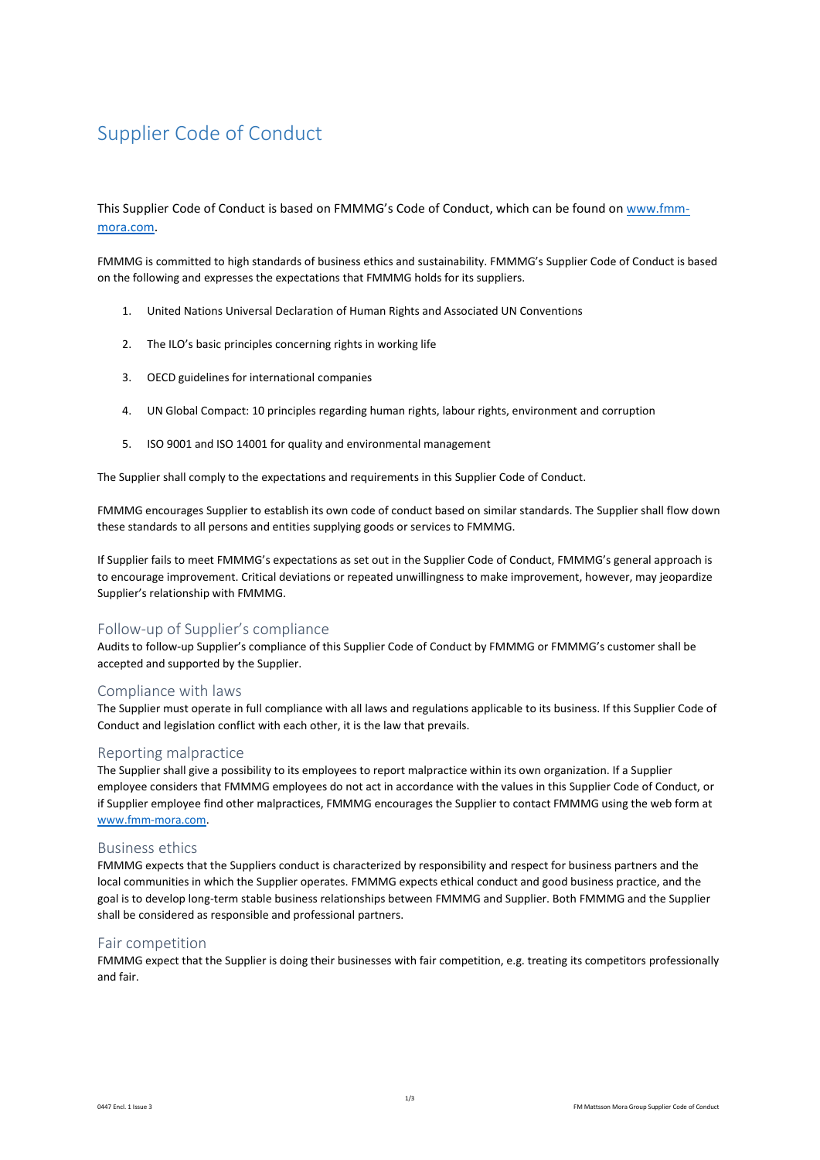# Supplier Code of Conduct

This Supplier Code of Conduct is based on FMMMG's Code of Conduct, which can be found on www.fmmmora.com.

FMMMG is committed to high standards of business ethics and sustainability. FMMMG's Supplier Code of Conduct is based on the following and expresses the expectations that FMMMG holds for its suppliers.

- 1. United Nations Universal Declaration of Human Rights and Associated UN Conventions
- 2. The ILO's basic principles concerning rights in working life
- 3. OECD guidelines for international companies
- 4. UN Global Compact: 10 principles regarding human rights, labour rights, environment and corruption
- 5. ISO 9001 and ISO 14001 for quality and environmental management

The Supplier shall comply to the expectations and requirements in this Supplier Code of Conduct.

FMMMG encourages Supplier to establish its own code of conduct based on similar standards. The Supplier shall flow down these standards to all persons and entities supplying goods or services to FMMMG.

If Supplier fails to meet FMMMG's expectations as set out in the Supplier Code of Conduct, FMMMG's general approach is to encourage improvement. Critical deviations or repeated unwillingness to make improvement, however, may jeopardize Supplier's relationship with FMMMG.

## Follow-up of Supplier's compliance

Audits to follow-up Supplier's compliance of this Supplier Code of Conduct by FMMMG or FMMMG's customer shall be accepted and supported by the Supplier.

#### Compliance with laws

The Supplier must operate in full compliance with all laws and regulations applicable to its business. If this Supplier Code of Conduct and legislation conflict with each other, it is the law that prevails.

#### Reporting malpractice

The Supplier shall give a possibility to its employees to report malpractice within its own organization. If a Supplier employee considers that FMMMG employees do not act in accordance with the values in this Supplier Code of Conduct, or if Supplier employee find other malpractices, FMMMG encourages the Supplier to contact FMMMG using the web form at www.fmm-mora.com.

#### Business ethics

FMMMG expects that the Suppliers conduct is characterized by responsibility and respect for business partners and the local communities in which the Supplier operates. FMMMG expects ethical conduct and good business practice, and the goal is to develop long-term stable business relationships between FMMMG and Supplier. Both FMMMG and the Supplier shall be considered as responsible and professional partners.

#### Fair competition

FMMMG expect that the Supplier is doing their businesses with fair competition, e.g. treating its competitors professionally and fair.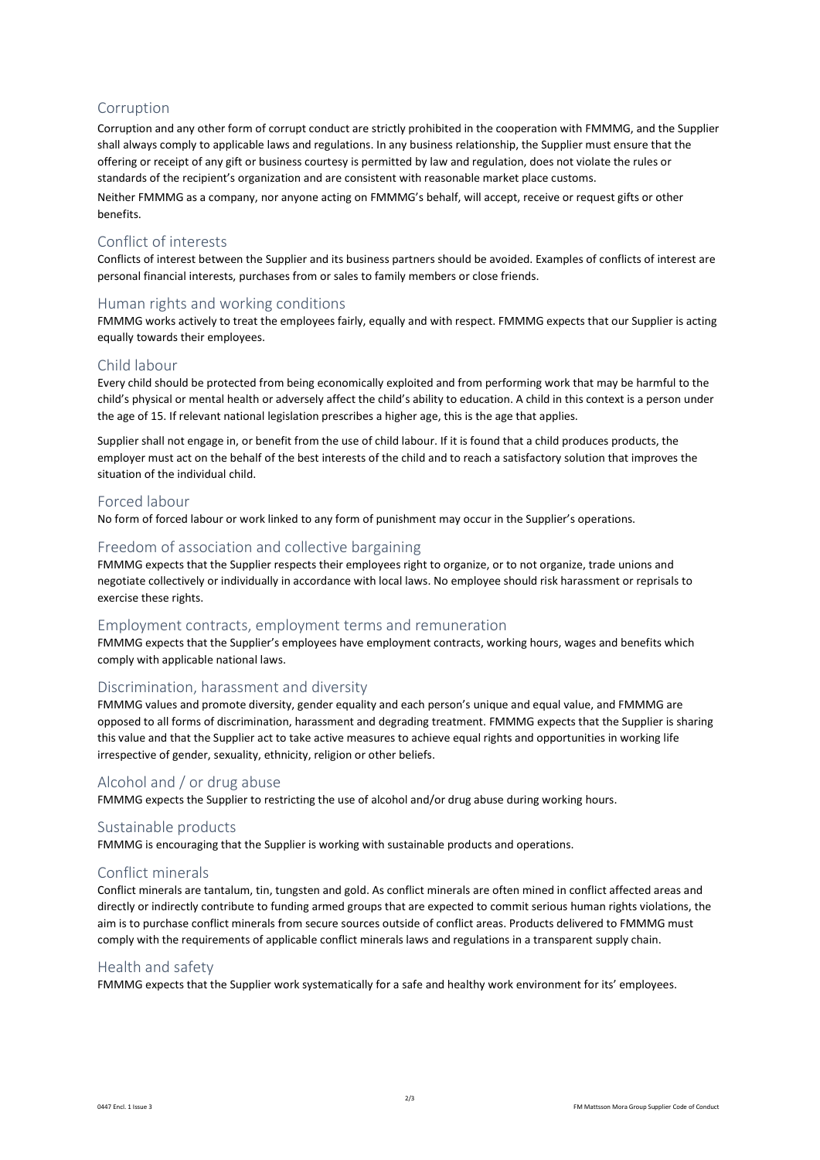## Corruption

Corruption and any other form of corrupt conduct are strictly prohibited in the cooperation with FMMMG, and the Supplier shall always comply to applicable laws and regulations. In any business relationship, the Supplier must ensure that the offering or receipt of any gift or business courtesy is permitted by law and regulation, does not violate the rules or standards of the recipient's organization and are consistent with reasonable market place customs.

Neither FMMMG as a company, nor anyone acting on FMMMG's behalf, will accept, receive or request gifts or other benefits.

## Conflict of interests

Conflicts of interest between the Supplier and its business partners should be avoided. Examples of conflicts of interest are personal financial interests, purchases from or sales to family members or close friends.

## Human rights and working conditions

FMMMG works actively to treat the employees fairly, equally and with respect. FMMMG expects that our Supplier is acting equally towards their employees.

## Child labour

Every child should be protected from being economically exploited and from performing work that may be harmful to the child's physical or mental health or adversely affect the child's ability to education. A child in this context is a person under the age of 15. If relevant national legislation prescribes a higher age, this is the age that applies.

Supplier shall not engage in, or benefit from the use of child labour. If it is found that a child produces products, the employer must act on the behalf of the best interests of the child and to reach a satisfactory solution that improves the situation of the individual child.

## Forced labour

No form of forced labour or work linked to any form of punishment may occur in the Supplier's operations.

## Freedom of association and collective bargaining

FMMMG expects that the Supplier respects their employees right to organize, or to not organize, trade unions and negotiate collectively or individually in accordance with local laws. No employee should risk harassment or reprisals to exercise these rights.

#### Employment contracts, employment terms and remuneration

FMMMG expects that the Supplier's employees have employment contracts, working hours, wages and benefits which comply with applicable national laws.

## Discrimination, harassment and diversity

FMMMG values and promote diversity, gender equality and each person's unique and equal value, and FMMMG are opposed to all forms of discrimination, harassment and degrading treatment. FMMMG expects that the Supplier is sharing this value and that the Supplier act to take active measures to achieve equal rights and opportunities in working life irrespective of gender, sexuality, ethnicity, religion or other beliefs.

## Alcohol and / or drug abuse

FMMMG expects the Supplier to restricting the use of alcohol and/or drug abuse during working hours.

#### Sustainable products

FMMMG is encouraging that the Supplier is working with sustainable products and operations.

## Conflict minerals

Conflict minerals are tantalum, tin, tungsten and gold. As conflict minerals are often mined in conflict affected areas and directly or indirectly contribute to funding armed groups that are expected to commit serious human rights violations, the aim is to purchase conflict minerals from secure sources outside of conflict areas. Products delivered to FMMMG must comply with the requirements of applicable conflict minerals laws and regulations in a transparent supply chain.

#### Health and safety

FMMMG expects that the Supplier work systematically for a safe and healthy work environment for its' employees.